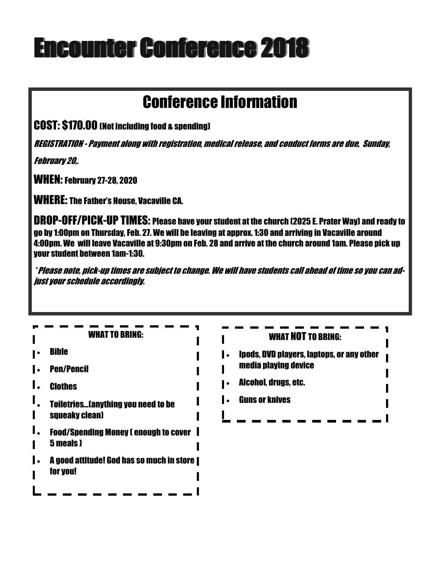# Encounter Conference 2018

## Conference Information

COST: \$170.00 (Not including food & spending)

REGISTRATION - Payment along with registration, medical release, and conduct forms are due, Sunday,

February 20,.

WHEN: February 27-28, 2020

WHERE: The Father's House, Vacaville CA.

DROP-OFF/PICK-UP TIMES: Please have your student at the church (2025 E. Prater Way) and ready to go by 1:00pm on Thursday, Feb. 27. We will be leaving at approx. 1:30 and arriving in Vacaville around 4:00pm. We will leave Vacaville at 9:30pm on Feb. 28 and arrive at the church around 1am. Please pick up your student between 1am-1:30.

\* Please note, pick-up times are subject to change. We will have students call ahead of time so you can adjust your schedule accordingly.

| <b>WHAT TO BRING:</b>                        | <b>WHAT NOT TO BRING:</b>                                     |
|----------------------------------------------|---------------------------------------------------------------|
| <b>Bible</b>                                 | <b>Ipods, DVD players, laptops, or any other</b><br>$\bullet$ |
| <b>Pen/Pencil</b>                            | media playing device                                          |
| <b>Clothes</b>                               | Alcohol, drugs, etc.                                          |
| <b>Toiletries(anything you need to be</b>    | <b>Guns or knives</b><br>$\bullet$                            |
| squeaky clean)                               |                                                               |
| <b>Food/Spending Money I enough to cover</b> |                                                               |
| 5 meals J                                    |                                                               |
| A good attitude! God has so much in store    |                                                               |
| for you!                                     |                                                               |
|                                              |                                                               |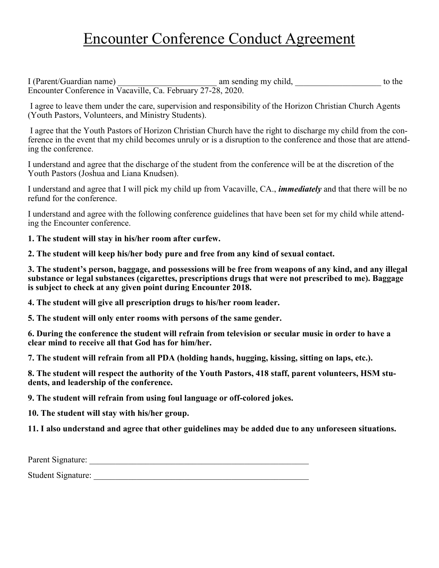## Encounter Conference Conduct Agreement

I (Parent/Guardian name) am sending my child, to the Encounter Conference in Vacaville, Ca. February 27-28, 2020.

I agree to leave them under the care, supervision and responsibility of the Horizon Christian Church Agents (Youth Pastors, Volunteers, and Ministry Students).

I agree that the Youth Pastors of Horizon Christian Church have the right to discharge my child from the conference in the event that my child becomes unruly or is a disruption to the conference and those that are attending the conference.

I understand and agree that the discharge of the student from the conference will be at the discretion of the Youth Pastors (Joshua and Liana Knudsen).

I understand and agree that I will pick my child up from Vacaville, CA., *immediately* and that there will be no refund for the conference.

I understand and agree with the following conference guidelines that have been set for my child while attending the Encounter conference.

**1. The student will stay in his/her room after curfew.**

**2. The student will keep his/her body pure and free from any kind of sexual contact.**

**3. The student's person, baggage, and possessions will be free from weapons of any kind, and any illegal substance or legal substances (cigarettes, prescriptions drugs that were not prescribed to me). Baggage is subject to check at any given point during Encounter 2018.**

**4. The student will give all prescription drugs to his/her room leader.**

**5. The student will only enter rooms with persons of the same gender.**

**6. During the conference the student will refrain from television or secular music in order to have a clear mind to receive all that God has for him/her.**

**7. The student will refrain from all PDA (holding hands, hugging, kissing, sitting on laps, etc.).**

**8. The student will respect the authority of the Youth Pastors, 418 staff, parent volunteers, HSM students, and leadership of the conference.**

**9. The student will refrain from using foul language or off-colored jokes.**

**10. The student will stay with his/her group.**

**11. I also understand and agree that other guidelines may be added due to any unforeseen situations.**

Parent Signature: Student Signature: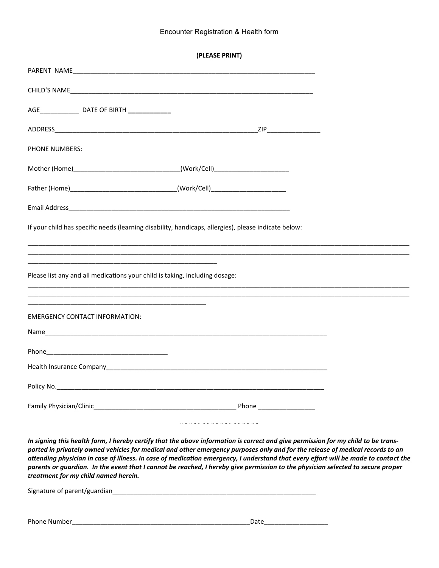#### Encounter Registration & Health form

| AGE ______________________ DATE OF BIRTH ________________                                            |  |  |  |  |
|------------------------------------------------------------------------------------------------------|--|--|--|--|
|                                                                                                      |  |  |  |  |
| <b>PHONE NUMBERS:</b>                                                                                |  |  |  |  |
| Mother (Home)_________________________________(Work/Cell)_______________________                     |  |  |  |  |
| Father (Home)__________________________________(Work/Cell)______________________                     |  |  |  |  |
|                                                                                                      |  |  |  |  |
| If your child has specific needs (learning disability, handicaps, allergies), please indicate below: |  |  |  |  |
|                                                                                                      |  |  |  |  |
| Please list any and all medications your child is taking, including dosage:                          |  |  |  |  |
|                                                                                                      |  |  |  |  |
| <b>EMERGENCY CONTACT INFORMATION:</b>                                                                |  |  |  |  |
|                                                                                                      |  |  |  |  |
|                                                                                                      |  |  |  |  |
|                                                                                                      |  |  |  |  |
|                                                                                                      |  |  |  |  |
|                                                                                                      |  |  |  |  |
|                                                                                                      |  |  |  |  |

*In signing this health form, I hereby certify that the above information is correct and give permission for my child to be transported in privately owned vehicles for medical and other emergency purposes only and for the release of medical records to an attending physician in case of illness. In case of medication emergency, I understand that every effort will be made to contact the parents or guardian. In the event that I cannot be reached, I hereby give permission to the physician selected to secure proper treatment for my child named herein.*

| Signature of parent/guardian |      |
|------------------------------|------|
|                              |      |
|                              |      |
| Phone Number                 | Date |